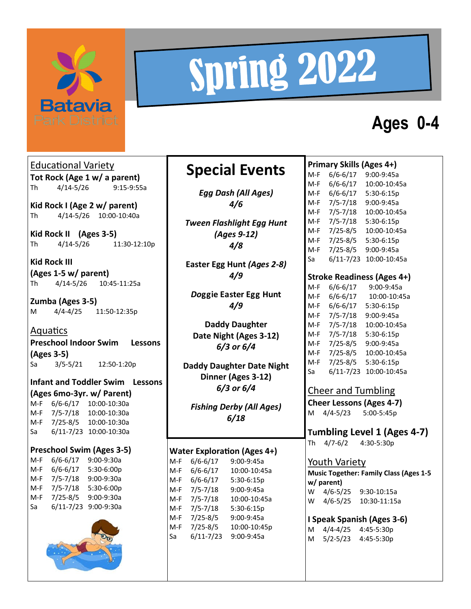

# Spring 2022

## **Ages 0-4**

Educational Variety **Tot Rock (Age 1 w/ a parent)** Th 4/14-5/26 9:15-9:55a

**Kid Rock I (Age 2 w/ parent)** Th 4/14-5/26 10:00-10:40a

**Kid Rock II (Ages 3-5)** Th 4/14-5/26 11:30-12:10p

**Kid Rock III (Ages 1-5 w/ parent)** Th 4/14-5/26 10:45-11:25a

**Zumba (Ages 3-5)** M 4/4-4/25 11:50-12:35p

**Aquatics Preschool Indoor Swim Lessons (Ages 3-5)** Sa 3/5-5/21 12:50-1:20p

**Infant and Toddler Swim Lessons (Ages 6mo-3yr. w/ Parent)** M-F 6/6-6/17 10:00-10:30a M-F 7/5-7/18 10:00-10:30a

M-F 7/25-8/5 10:00-10:30a Sa 6/11-7/23 10:00-10:30a

**Preschool Swim (Ages 3-5)**

M-F 6/6-6/17 9:00-9:30a M-F 6/6-6/17 5:30-6:00p M-F 7/5-7/18 9:00-9:30a M-F 7/5-7/18 5:30-6:00p M-F 7/25-8/5 9:00-9:30a Sa 6/11-7/23 9:00-9:30a



### **Special Events**

*Egg Dash (All Ages) 4/6*

*Tween Flashlight Egg Hunt (Ages 9-12) 4/8*

**Easter Egg Hunt** *(Ages 2-8) 4/9*

*Do***ggie Easter Egg Hunt** *4/9*

**Daddy Daughter Date Night (Ages 3-12)**  *6/3 or 6/4*

**Daddy Daughter Date Night Dinner (Ages 3-12)** *6/3 or 6/4*

*Fishing Derby (All Ages) 6/18*

#### **Water Exploration (Ages 4+)**

M-F 6/6-6/17 9:00-9:45a M-F 6/6-6/17 10:00-10:45a M-F 6/6-6/17 5:30-6:15p M-F 7/5-7/18 9:00-9:45a M-F 7/5-7/18 10:00-10:45a M-F 7/5-7/18 5:30-6:15p M-F 7/25-8/5 9:00-9:45a M-F 7/25-8/5 10:00-10:45p Sa 6/11-7/23 9:00-9:45a

#### **Primary Skills (Ages 4+)** M-F 6/6-6/17 9:00-9:45a M-F 6/6-6/17 10:00-10:45a M-F 6/6-6/17 5:30-6:15p M-F 7/5-7/18 9:00-9:45a M-F 7/5-7/18 10:00-10:45a M-F 7/5-7/18 5:30-6:15p M-F 7/25-8/5 10:00-10:45a M-F 7/25-8/5 5:30-6:15p M-F 7/25-8/5 9:00-9:45a Sa 6/11-7/23 10:00-10:45a

#### **Stroke Readiness (Ages 4+)**

M-F 6/6-6/17 9:00-9:45a M-F 6/6-6/17 10:00-10:45a M-F 6/6-6/17 5:30-6:15p M-F 7/5-7/18 9:00-9:45a M-F 7/5-7/18 10:00-10:45a M-F 7/5-7/18 5:30-6:15p M-F 7/25-8/5 9:00-9:45a M-F 7/25-8/5 10:00-10:45a M-F 7/25-8/5 5:30-6:15p Sa 6/11-7/23 10:00-10:45a

#### Cheer and Tumbling

**Cheer Lessons (Ages 4-7)** M 4/4-5/23 5:00-5:45p

#### **Tumbling Level 1 (Ages 4-7)**

Th 4/7-6/2 4:30-5:30p

#### Youth Variety

**Music Together: Family Class (Ages 1-5 w/ parent)** W 4/6-5/25 9:30-10:15a W 4/6-5/25 10:30-11:15a

**I Speak Spanish (Ages 3-6)** M 4/4-4/25 4:45-5:30p M 5/2-5/23 4:45-5:30p